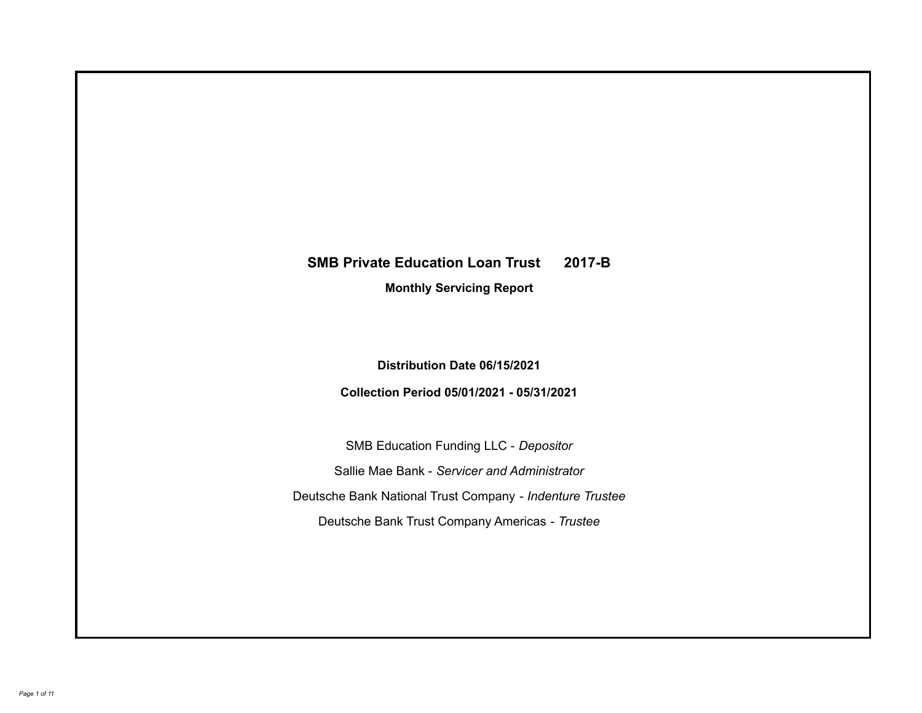# **SMB Private Education Loan Trust 2017-B**

**Monthly Servicing Report**

**Distribution Date 06/15/2021**

**Collection Period 05/01/2021 - 05/31/2021**

SMB Education Funding LLC - *Depositor* Sallie Mae Bank - *Servicer and Administrator* Deutsche Bank National Trust Company - *Indenture Trustee* Deutsche Bank Trust Company Americas - *Trustee*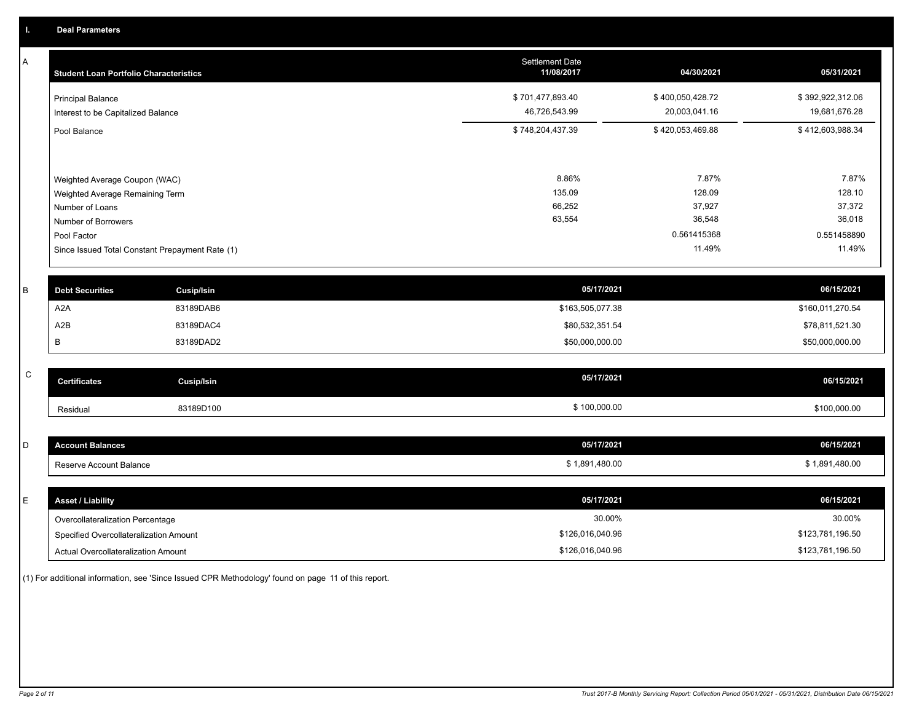A

| A           | <b>Student Loan Portfolio Characteristics</b>   |                   | <b>Settlement Date</b><br>11/08/2017 | 04/30/2021       | 05/31/2021       |
|-------------|-------------------------------------------------|-------------------|--------------------------------------|------------------|------------------|
|             | <b>Principal Balance</b>                        |                   | \$701,477,893.40                     | \$400,050,428.72 | \$392,922,312.06 |
|             | Interest to be Capitalized Balance              |                   | 46,726,543.99                        | 20,003,041.16    | 19,681,676.28    |
|             | Pool Balance                                    |                   | \$748,204,437.39                     | \$420,053,469.88 | \$412,603,988.34 |
|             |                                                 |                   |                                      |                  |                  |
|             | Weighted Average Coupon (WAC)                   |                   | 8.86%                                | 7.87%            | 7.87%            |
|             | Weighted Average Remaining Term                 |                   | 135.09                               | 128.09           | 128.10           |
|             | Number of Loans                                 |                   | 66,252                               | 37,927           | 37,372           |
|             | Number of Borrowers                             |                   | 63,554                               | 36,548           | 36,018           |
|             | Pool Factor                                     |                   |                                      | 0.561415368      | 0.551458890      |
|             | Since Issued Total Constant Prepayment Rate (1) |                   |                                      | 11.49%           | 11.49%           |
|             |                                                 |                   |                                      |                  |                  |
| B           | <b>Debt Securities</b>                          | <b>Cusip/Isin</b> | 05/17/2021                           |                  | 06/15/2021       |
|             | A2A                                             | 83189DAB6         | \$163,505,077.38                     |                  | \$160,011,270.54 |
|             | A2B                                             | 83189DAC4         | \$80,532,351.54                      |                  | \$78,811,521.30  |
|             | B                                               | 83189DAD2         | \$50,000,000.00                      |                  | \$50,000,000.00  |
|             |                                                 |                   |                                      |                  |                  |
| $\mathsf C$ | <b>Certificates</b>                             | <b>Cusip/Isin</b> | 05/17/2021                           |                  | 06/15/2021       |
|             | Residual                                        | 83189D100         | \$100,000.00                         |                  | \$100,000.00     |
|             |                                                 |                   |                                      |                  |                  |
| D           | <b>Account Balances</b>                         |                   | 05/17/2021                           |                  | 06/15/2021       |
|             | Reserve Account Balance                         |                   | \$1,891,480.00                       |                  | \$1,891,480.00   |
|             |                                                 |                   |                                      |                  |                  |

| <b>Asset / Liability</b>               | 05/17/2021       | 06/15/2021       |
|----------------------------------------|------------------|------------------|
| Overcollateralization Percentage       | 30.00%           | 30.00%           |
| Specified Overcollateralization Amount | \$126,016,040.96 | \$123,781,196.50 |
| Actual Overcollateralization Amount    | \$126,016,040.96 | \$123,781,196.50 |

(1) For additional information, see 'Since Issued CPR Methodology' found on page 11 of this report.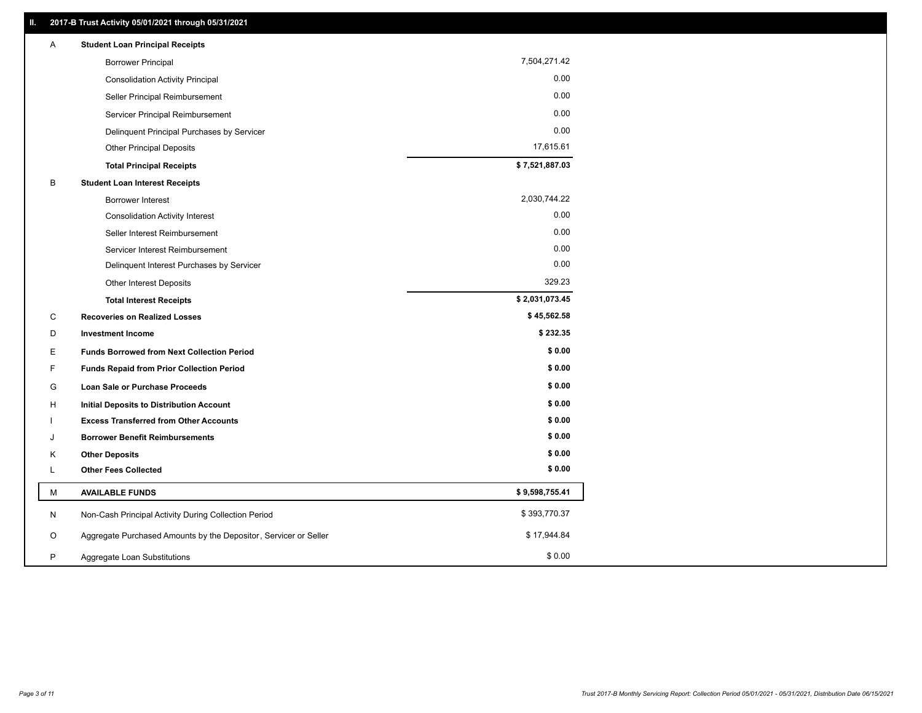| Α | <b>Student Loan Principal Receipts</b>                           |                |
|---|------------------------------------------------------------------|----------------|
|   | <b>Borrower Principal</b>                                        | 7,504,271.42   |
|   | <b>Consolidation Activity Principal</b>                          | 0.00           |
|   | Seller Principal Reimbursement                                   | 0.00           |
|   | Servicer Principal Reimbursement                                 | 0.00           |
|   | Delinquent Principal Purchases by Servicer                       | 0.00           |
|   | <b>Other Principal Deposits</b>                                  | 17,615.61      |
|   | <b>Total Principal Receipts</b>                                  | \$7,521,887.03 |
| B | <b>Student Loan Interest Receipts</b>                            |                |
|   | <b>Borrower Interest</b>                                         | 2,030,744.22   |
|   | <b>Consolidation Activity Interest</b>                           | 0.00           |
|   | Seller Interest Reimbursement                                    | 0.00           |
|   | Servicer Interest Reimbursement                                  | 0.00           |
|   | Delinquent Interest Purchases by Servicer                        | 0.00           |
|   | Other Interest Deposits                                          | 329.23         |
|   | <b>Total Interest Receipts</b>                                   | \$2,031,073.45 |
| C | <b>Recoveries on Realized Losses</b>                             | \$45,562.58    |
| D | <b>Investment Income</b>                                         | \$232.35       |
| Ε | <b>Funds Borrowed from Next Collection Period</b>                | \$0.00         |
| F | <b>Funds Repaid from Prior Collection Period</b>                 | \$0.00         |
| G | Loan Sale or Purchase Proceeds                                   | \$0.00         |
| н | <b>Initial Deposits to Distribution Account</b>                  | \$0.00         |
|   | <b>Excess Transferred from Other Accounts</b>                    | \$0.00         |
| J | <b>Borrower Benefit Reimbursements</b>                           | \$0.00         |
| Κ | <b>Other Deposits</b>                                            | \$0.00         |
| L | <b>Other Fees Collected</b>                                      | \$0.00         |
| М | <b>AVAILABLE FUNDS</b>                                           | \$9,598,755.41 |
| N | Non-Cash Principal Activity During Collection Period             | \$393,770.37   |
| O | Aggregate Purchased Amounts by the Depositor, Servicer or Seller | \$17,944.84    |
| P | Aggregate Loan Substitutions                                     | \$0.00         |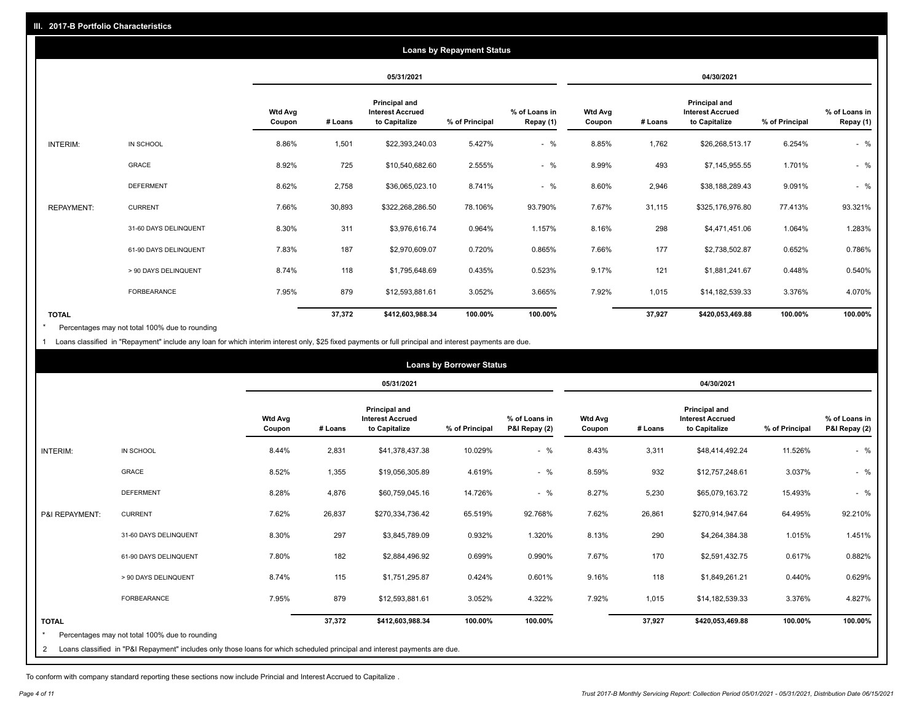| <b>Loans by Repayment Status</b> |                       |                          |            |                                                           |                |                            |                          |         |                                                           |                |                            |
|----------------------------------|-----------------------|--------------------------|------------|-----------------------------------------------------------|----------------|----------------------------|--------------------------|---------|-----------------------------------------------------------|----------------|----------------------------|
|                                  |                       |                          | 05/31/2021 |                                                           |                | 04/30/2021                 |                          |         |                                                           |                |                            |
|                                  |                       | <b>Wtd Avg</b><br>Coupon | # Loans    | Principal and<br><b>Interest Accrued</b><br>to Capitalize | % of Principal | % of Loans in<br>Repay (1) | <b>Wtd Avg</b><br>Coupon | # Loans | Principal and<br><b>Interest Accrued</b><br>to Capitalize | % of Principal | % of Loans in<br>Repay (1) |
| INTERIM:                         | IN SCHOOL             | 8.86%                    | 1,501      | \$22,393,240.03                                           | 5.427%         | $-$ %                      | 8.85%                    | 1,762   | \$26,268,513.17                                           | 6.254%         | $-$ %                      |
|                                  | GRACE                 | 8.92%                    | 725        | \$10,540,682.60                                           | 2.555%         | $-$ %                      | 8.99%                    | 493     | \$7,145,955.55                                            | 1.701%         | $-$ %                      |
|                                  | <b>DEFERMENT</b>      | 8.62%                    | 2,758      | \$36,065,023.10                                           | 8.741%         | $-$ %                      | 8.60%                    | 2,946   | \$38,188,289.43                                           | 9.091%         | $-$ %                      |
| <b>REPAYMENT:</b>                | <b>CURRENT</b>        | 7.66%                    | 30,893     | \$322,268,286.50                                          | 78.106%        | 93.790%                    | 7.67%                    | 31,115  | \$325,176,976.80                                          | 77.413%        | 93.321%                    |
|                                  | 31-60 DAYS DELINQUENT | 8.30%                    | 311        | \$3,976,616.74                                            | 0.964%         | 1.157%                     | 8.16%                    | 298     | \$4,471,451.06                                            | 1.064%         | 1.283%                     |
|                                  | 61-90 DAYS DELINQUENT | 7.83%                    | 187        | \$2,970,609.07                                            | 0.720%         | 0.865%                     | 7.66%                    | 177     | \$2,738,502.87                                            | 0.652%         | 0.786%                     |
|                                  | > 90 DAYS DELINQUENT  | 8.74%                    | 118        | \$1,795,648.69                                            | 0.435%         | 0.523%                     | 9.17%                    | 121     | \$1,881,241.67                                            | 0.448%         | 0.540%                     |
|                                  | <b>FORBEARANCE</b>    | 7.95%                    | 879        | \$12,593,881.61                                           | 3.052%         | 3.665%                     | 7.92%                    | 1,015   | \$14,182,539.33                                           | 3.376%         | 4.070%                     |
| <b>TOTAL</b>                     |                       |                          | 37,372     | \$412,603,988.34                                          | 100.00%        | 100.00%                    |                          | 37,927  | \$420,053,469.88                                          | 100.00%        | 100.00%                    |

Percentages may not total 100% due to rounding \*

1 Loans classified in "Repayment" include any loan for which interim interest only, \$25 fixed payments or full principal and interest payments are due.

|                | <b>Loans by Borrower Status</b>                                                                                            |                          |         |                                                                  |                |                                |                          |         |                                                                  |                |                                |
|----------------|----------------------------------------------------------------------------------------------------------------------------|--------------------------|---------|------------------------------------------------------------------|----------------|--------------------------------|--------------------------|---------|------------------------------------------------------------------|----------------|--------------------------------|
|                |                                                                                                                            |                          |         | 05/31/2021                                                       |                |                                | 04/30/2021               |         |                                                                  |                |                                |
|                |                                                                                                                            | <b>Wtd Avg</b><br>Coupon | # Loans | <b>Principal and</b><br><b>Interest Accrued</b><br>to Capitalize | % of Principal | % of Loans in<br>P&I Repay (2) | <b>Wtd Avg</b><br>Coupon | # Loans | <b>Principal and</b><br><b>Interest Accrued</b><br>to Capitalize | % of Principal | % of Loans in<br>P&I Repay (2) |
| INTERIM:       | IN SCHOOL                                                                                                                  | 8.44%                    | 2,831   | \$41,378,437.38                                                  | 10.029%        | $-$ %                          | 8.43%                    | 3,311   | \$48,414,492.24                                                  | 11.526%        | $-$ %                          |
|                | <b>GRACE</b>                                                                                                               | 8.52%                    | 1,355   | \$19,056,305.89                                                  | 4.619%         | $-$ %                          | 8.59%                    | 932     | \$12,757,248.61                                                  | 3.037%         | $-$ %                          |
|                | <b>DEFERMENT</b>                                                                                                           | 8.28%                    | 4,876   | \$60,759,045.16                                                  | 14.726%        | $-$ %                          | 8.27%                    | 5,230   | \$65,079,163.72                                                  | 15.493%        | $-$ %                          |
| P&I REPAYMENT: | <b>CURRENT</b>                                                                                                             | 7.62%                    | 26,837  | \$270,334,736.42                                                 | 65.519%        | 92.768%                        | 7.62%                    | 26,861  | \$270,914,947.64                                                 | 64.495%        | 92.210%                        |
|                | 31-60 DAYS DELINQUENT                                                                                                      | 8.30%                    | 297     | \$3,845,789.09                                                   | 0.932%         | 1.320%                         | 8.13%                    | 290     | \$4,264,384.38                                                   | 1.015%         | 1.451%                         |
|                | 61-90 DAYS DELINQUENT                                                                                                      | 7.80%                    | 182     | \$2,884,496.92                                                   | 0.699%         | 0.990%                         | 7.67%                    | 170     | \$2,591,432.75                                                   | 0.617%         | 0.882%                         |
|                | > 90 DAYS DELINQUENT                                                                                                       | 8.74%                    | 115     | \$1,751,295.87                                                   | 0.424%         | 0.601%                         | 9.16%                    | 118     | \$1,849,261.21                                                   | 0.440%         | 0.629%                         |
|                | FORBEARANCE                                                                                                                | 7.95%                    | 879     | \$12,593,881.61                                                  | 3.052%         | 4.322%                         | 7.92%                    | 1,015   | \$14,182,539.33                                                  | 3.376%         | 4.827%                         |
| <b>TOTAL</b>   | Percentages may not total 100% due to rounding                                                                             |                          | 37,372  | \$412,603,988.34                                                 | 100.00%        | 100.00%                        |                          | 37,927  | \$420,053,469.88                                                 | 100.00%        | 100.00%                        |
| 2              | Loans classified in "P&I Repayment" includes only those loans for which scheduled principal and interest payments are due. |                          |         |                                                                  |                |                                |                          |         |                                                                  |                |                                |

To conform with company standard reporting these sections now include Princial and Interest Accrued to Capitalize .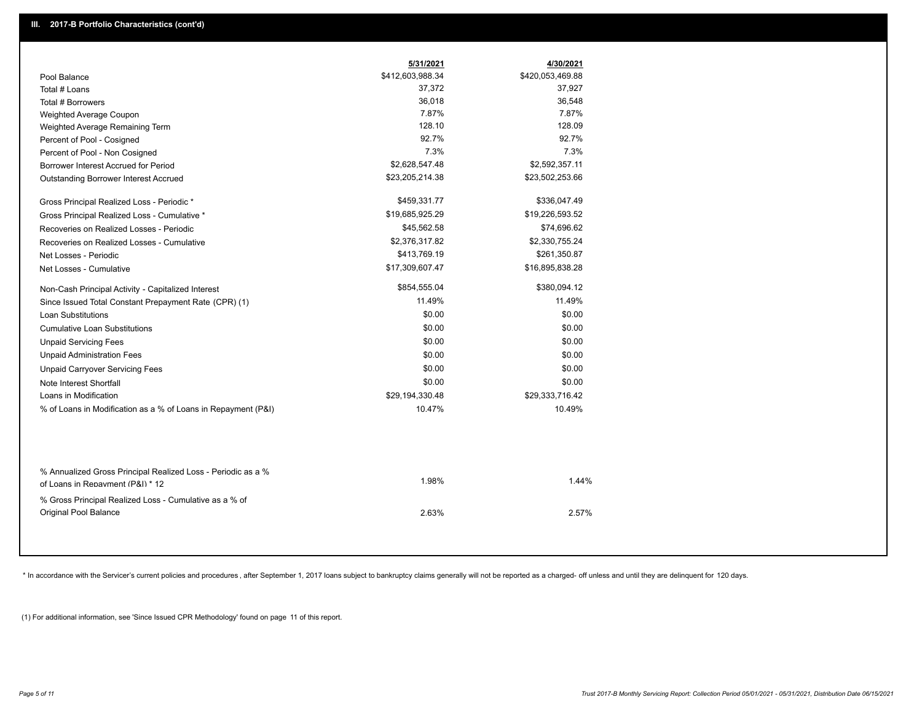|                                                                                        | 5/31/2021        | 4/30/2021        |  |
|----------------------------------------------------------------------------------------|------------------|------------------|--|
| Pool Balance                                                                           | \$412,603,988.34 | \$420,053,469.88 |  |
| Total # Loans                                                                          | 37,372           | 37,927           |  |
| Total # Borrowers                                                                      | 36,018           | 36,548           |  |
| Weighted Average Coupon                                                                | 7.87%            | 7.87%            |  |
| Weighted Average Remaining Term                                                        | 128.10           | 128.09           |  |
| Percent of Pool - Cosigned                                                             | 92.7%            | 92.7%            |  |
| Percent of Pool - Non Cosigned                                                         | 7.3%             | 7.3%             |  |
| Borrower Interest Accrued for Period                                                   | \$2,628,547.48   | \$2,592,357.11   |  |
| Outstanding Borrower Interest Accrued                                                  | \$23,205,214.38  | \$23,502,253.66  |  |
| Gross Principal Realized Loss - Periodic *                                             | \$459,331.77     | \$336,047.49     |  |
| Gross Principal Realized Loss - Cumulative *                                           | \$19,685,925.29  | \$19,226,593.52  |  |
| Recoveries on Realized Losses - Periodic                                               | \$45,562.58      | \$74,696.62      |  |
| Recoveries on Realized Losses - Cumulative                                             | \$2,376,317.82   | \$2,330,755.24   |  |
| Net Losses - Periodic                                                                  | \$413,769.19     | \$261,350.87     |  |
| Net Losses - Cumulative                                                                | \$17,309,607.47  | \$16,895,838.28  |  |
| Non-Cash Principal Activity - Capitalized Interest                                     | \$854,555.04     | \$380,094.12     |  |
| Since Issued Total Constant Prepayment Rate (CPR) (1)                                  | 11.49%           | 11.49%           |  |
| <b>Loan Substitutions</b>                                                              | \$0.00           | \$0.00           |  |
| Cumulative Loan Substitutions                                                          | \$0.00           | \$0.00           |  |
| <b>Unpaid Servicing Fees</b>                                                           | \$0.00           | \$0.00           |  |
| <b>Unpaid Administration Fees</b>                                                      | \$0.00           | \$0.00           |  |
| <b>Unpaid Carryover Servicing Fees</b>                                                 | \$0.00           | \$0.00           |  |
| Note Interest Shortfall                                                                | \$0.00           | \$0.00           |  |
| Loans in Modification                                                                  | \$29,194,330.48  | \$29,333,716.42  |  |
| % of Loans in Modification as a % of Loans in Repayment (P&I)                          | 10.47%           | 10.49%           |  |
| % Annualized Gross Principal Realized Loss - Periodic as a %                           | 1.98%            | 1.44%            |  |
| of Loans in Repayment (P&I) * 12                                                       |                  |                  |  |
| % Gross Principal Realized Loss - Cumulative as a % of<br><b>Original Pool Balance</b> | 2.63%            | 2.57%            |  |

\* In accordance with the Servicer's current policies and procedures, after September 1, 2017 loans subject to bankruptcy claims generally will not be reported as a charged- off unless and until they are delinquent for 120

(1) For additional information, see 'Since Issued CPR Methodology' found on page 11 of this report.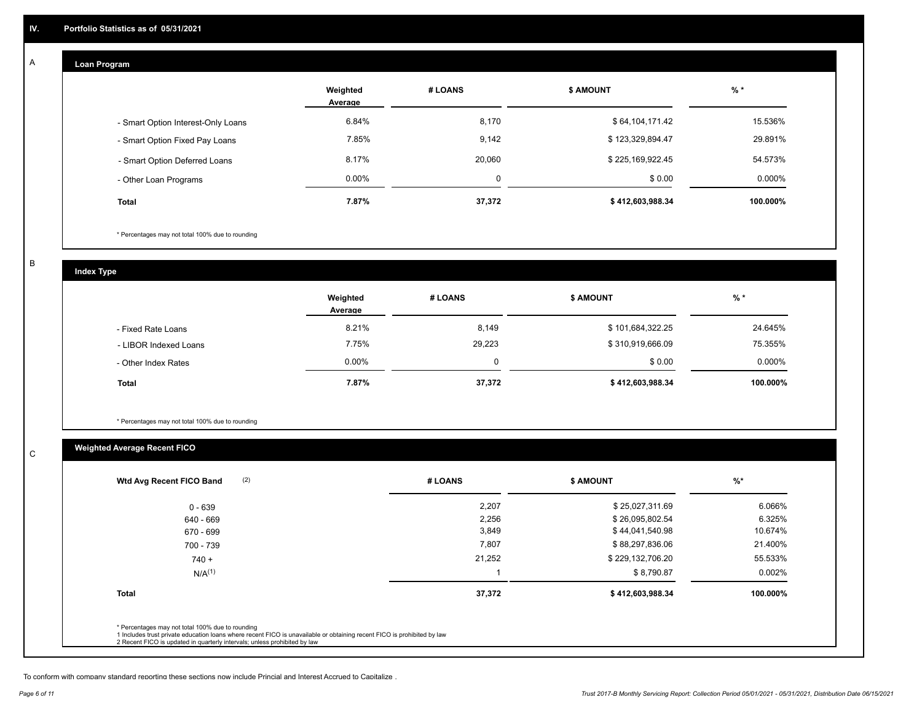## **Loan Program**

A

|                                    | Weighted<br>Average | # LOANS     | <b>\$ AMOUNT</b> | $%$ *    |
|------------------------------------|---------------------|-------------|------------------|----------|
| - Smart Option Interest-Only Loans | 6.84%               | 8,170       | \$64,104,171.42  | 15.536%  |
| - Smart Option Fixed Pay Loans     | 7.85%               | 9,142       | \$123,329,894.47 | 29.891%  |
| - Smart Option Deferred Loans      | 8.17%               | 20,060      | \$225,169,922.45 | 54.573%  |
| - Other Loan Programs              | $0.00\%$            | $\mathbf 0$ | \$0.00           | 0.000%   |
| <b>Total</b>                       | 7.87%               | 37,372      | \$412,603,988.34 | 100.000% |

\* Percentages may not total 100% due to rounding

B

C

**Index Type**

|                       | Weighted<br>Average | # LOANS | <b>\$ AMOUNT</b> | $%$ *     |
|-----------------------|---------------------|---------|------------------|-----------|
| - Fixed Rate Loans    | 8.21%               | 8,149   | \$101,684,322.25 | 24.645%   |
| - LIBOR Indexed Loans | 7.75%               | 29,223  | \$310,919,666.09 | 75.355%   |
| - Other Index Rates   | $0.00\%$            |         | \$0.00           | $0.000\%$ |
| <b>Total</b>          | 7.87%               | 37,372  | \$412,603,988.34 | 100.000%  |

\* Percentages may not total 100% due to rounding

# **Weighted Average Recent FICO**

| 2,207<br>2,256 | \$25,027,311.69<br>\$26,095,802.54 | 6.066%    |
|----------------|------------------------------------|-----------|
|                |                                    | 6.325%    |
|                |                                    |           |
| 3,849          | \$44,041,540.98                    | 10.674%   |
| 7,807          | \$88,297,836.06                    | 21.400%   |
| 21,252         | \$229,132,706.20                   | 55.533%   |
|                | \$8,790.87                         | $0.002\%$ |
| 37,372         | \$412,603,988.34                   | 100.000%  |
|                |                                    |           |

To conform with company standard reporting these sections now include Princial and Interest Accrued to Capitalize .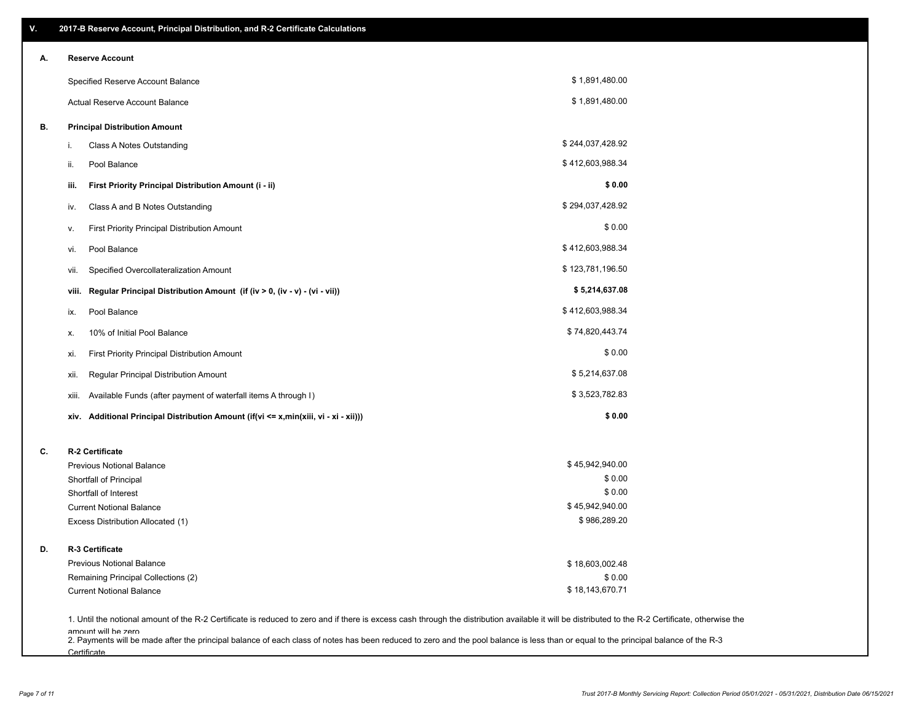| ۷. | 2017-B Reserve Account, Principal Distribution, and R-2 Certificate Calculations                                                                                                                                          |                  |  |
|----|---------------------------------------------------------------------------------------------------------------------------------------------------------------------------------------------------------------------------|------------------|--|
| А. | <b>Reserve Account</b>                                                                                                                                                                                                    |                  |  |
|    | Specified Reserve Account Balance                                                                                                                                                                                         | \$1,891,480.00   |  |
|    | Actual Reserve Account Balance                                                                                                                                                                                            | \$1,891,480.00   |  |
| В. | <b>Principal Distribution Amount</b>                                                                                                                                                                                      |                  |  |
|    | Class A Notes Outstanding<br>i.                                                                                                                                                                                           | \$244,037,428.92 |  |
|    | Pool Balance<br>ii.                                                                                                                                                                                                       | \$412,603,988.34 |  |
|    | First Priority Principal Distribution Amount (i - ii)<br>iii.                                                                                                                                                             | \$0.00           |  |
|    | Class A and B Notes Outstanding<br>iv.                                                                                                                                                                                    | \$294,037,428.92 |  |
|    | First Priority Principal Distribution Amount<br>۷.                                                                                                                                                                        | \$0.00           |  |
|    | Pool Balance<br>VI.                                                                                                                                                                                                       | \$412,603,988.34 |  |
|    | Specified Overcollateralization Amount<br>vii.                                                                                                                                                                            | \$123,781,196.50 |  |
|    | Regular Principal Distribution Amount (if (iv > 0, (iv - v) - (vi - vii))<br>viii.                                                                                                                                        | \$5,214,637.08   |  |
|    | Pool Balance<br>ix.                                                                                                                                                                                                       | \$412,603,988.34 |  |
|    | 10% of Initial Pool Balance<br>х.                                                                                                                                                                                         | \$74,820,443.74  |  |
|    | First Priority Principal Distribution Amount<br>xi.                                                                                                                                                                       | \$0.00           |  |
|    | Regular Principal Distribution Amount<br>xii.                                                                                                                                                                             | \$5,214,637.08   |  |
|    | Available Funds (after payment of waterfall items A through I)<br>xiii.                                                                                                                                                   | \$3,523,782.83   |  |
|    | Additional Principal Distribution Amount (if(vi <= x,min(xiii, vi - xi - xii)))<br>xiv.                                                                                                                                   | \$0.00           |  |
| C. | R-2 Certificate                                                                                                                                                                                                           |                  |  |
|    | <b>Previous Notional Balance</b>                                                                                                                                                                                          | \$45,942,940.00  |  |
|    | Shortfall of Principal                                                                                                                                                                                                    | \$0.00           |  |
|    | Shortfall of Interest                                                                                                                                                                                                     | \$0.00           |  |
|    | <b>Current Notional Balance</b>                                                                                                                                                                                           | \$45,942,940.00  |  |
|    | Excess Distribution Allocated (1)                                                                                                                                                                                         | \$986,289.20     |  |
| D. | R-3 Certificate                                                                                                                                                                                                           |                  |  |
|    | <b>Previous Notional Balance</b>                                                                                                                                                                                          | \$18,603,002.48  |  |
|    | Remaining Principal Collections (2)                                                                                                                                                                                       | \$0.00           |  |
|    | <b>Current Notional Balance</b>                                                                                                                                                                                           | \$18,143,670.71  |  |
|    | 1. Until the notional amount of the R-2 Certificate is reduced to zero and if there is excess cash through the distribution available it will be distributed to the R-2 Certificate, otherwise the<br>amount will be zero |                  |  |

amount will be zero<br>2. Payments will be made after the principal balance of each class of notes has been reduced to zero and the pool balance is less than or equal to the principal balance of the R-3 **Certificate**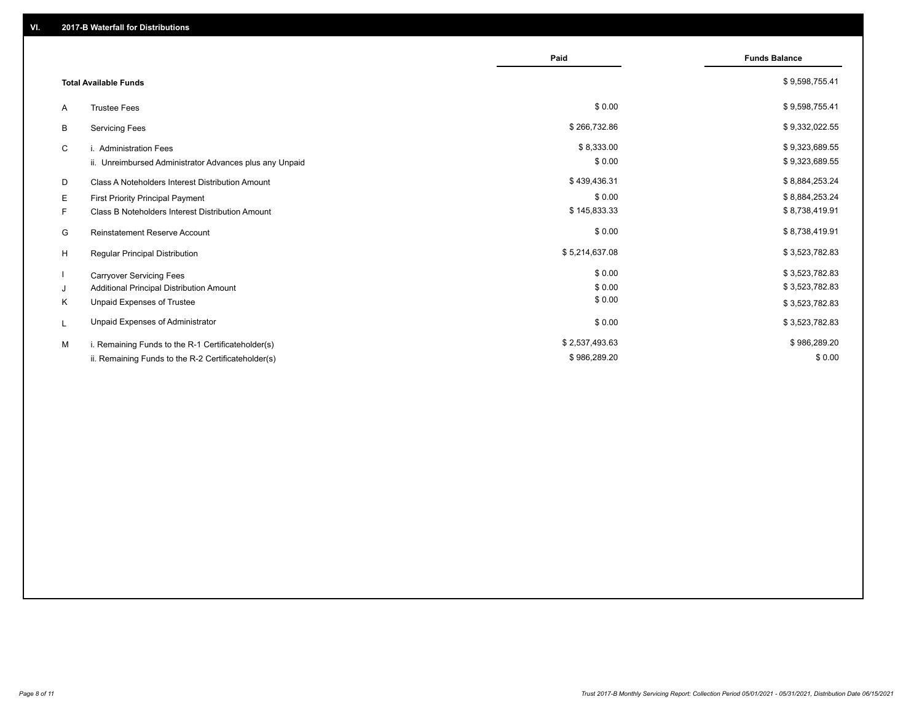|                                 |                                                         | Paid           | <b>Funds Balance</b> |
|---------------------------------|---------------------------------------------------------|----------------|----------------------|
| <b>Total Available Funds</b>    |                                                         |                | \$9,598,755.41       |
| <b>Trustee Fees</b><br>A        |                                                         | \$0.00         | \$9,598,755.41       |
| <b>Servicing Fees</b><br>B      |                                                         | \$266,732.86   | \$9,332,022.55       |
| C<br>i. Administration Fees     |                                                         | \$8,333.00     | \$9,323,689.55       |
|                                 | ii. Unreimbursed Administrator Advances plus any Unpaid | \$0.00         | \$9,323,689.55       |
| D                               | Class A Noteholders Interest Distribution Amount        | \$439,436.31   | \$8,884,253.24       |
| Е                               | First Priority Principal Payment                        | \$0.00         | \$8,884,253.24       |
| F.                              | Class B Noteholders Interest Distribution Amount        | \$145,833.33   | \$8,738,419.91       |
| G                               | <b>Reinstatement Reserve Account</b>                    | \$0.00         | \$8,738,419.91       |
| H                               | Regular Principal Distribution                          | \$5,214,637.08 | \$3,523,782.83       |
| <b>Carryover Servicing Fees</b> |                                                         | \$0.00         | \$3,523,782.83       |
| J                               | Additional Principal Distribution Amount                | \$0.00         | \$3,523,782.83       |
| Κ                               | Unpaid Expenses of Trustee                              | \$0.00         | \$3,523,782.83       |
| L                               | Unpaid Expenses of Administrator                        | \$0.00         | \$3,523,782.83       |
| M                               | i. Remaining Funds to the R-1 Certificateholder(s)      | \$2,537,493.63 | \$986,289.20         |
|                                 | ii. Remaining Funds to the R-2 Certificateholder(s)     | \$986,289.20   | \$0.00               |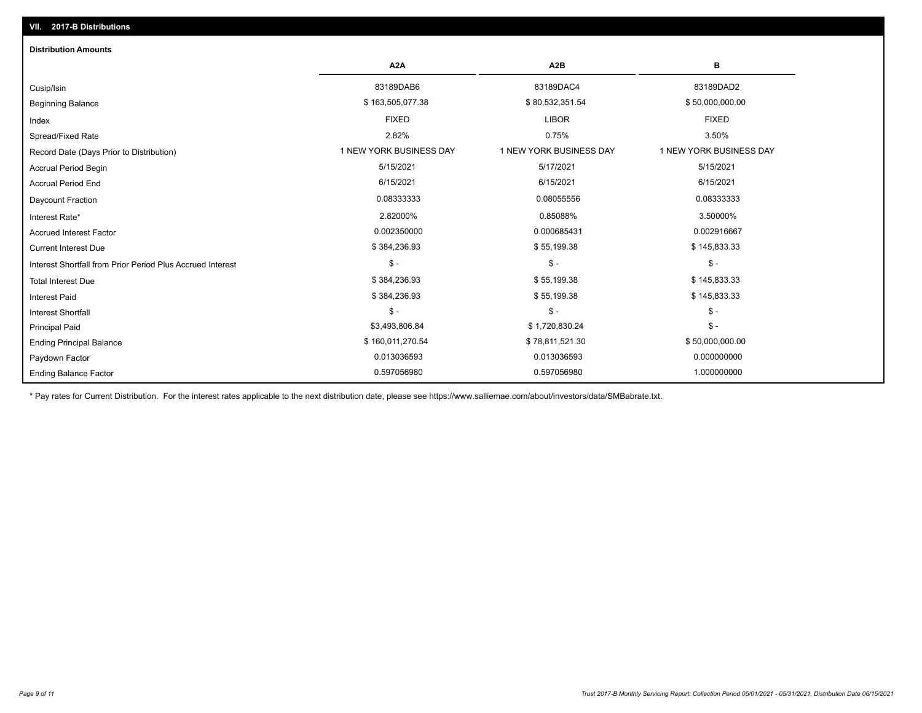| <b>Distribution Amounts</b>                                |                         |                         |                         |
|------------------------------------------------------------|-------------------------|-------------------------|-------------------------|
|                                                            | A <sub>2</sub> A        | A <sub>2</sub> B        | в                       |
| Cusip/Isin                                                 | 83189DAB6               | 83189DAC4               | 83189DAD2               |
| <b>Beginning Balance</b>                                   | \$163,505,077.38        | \$80,532,351.54         | \$50,000,000.00         |
| Index                                                      | <b>FIXED</b>            | <b>LIBOR</b>            | <b>FIXED</b>            |
| Spread/Fixed Rate                                          | 2.82%                   | 0.75%                   | 3.50%                   |
| Record Date (Days Prior to Distribution)                   | 1 NEW YORK BUSINESS DAY | 1 NEW YORK BUSINESS DAY | 1 NEW YORK BUSINESS DAY |
| <b>Accrual Period Begin</b>                                | 5/15/2021               | 5/17/2021               | 5/15/2021               |
| <b>Accrual Period End</b>                                  | 6/15/2021               | 6/15/2021               | 6/15/2021               |
| Daycount Fraction                                          | 0.08333333              | 0.08055556              | 0.08333333              |
| Interest Rate*                                             | 2.82000%                | 0.85088%                | 3.50000%                |
| <b>Accrued Interest Factor</b>                             | 0.002350000             | 0.000685431             | 0.002916667             |
| <b>Current Interest Due</b>                                | \$384,236.93            | \$55,199.38             | \$145,833.33            |
| Interest Shortfall from Prior Period Plus Accrued Interest | $\mathsf{\$}$ -         | $\mathcal{S}$ -         | $\frac{2}{3}$ -         |
| <b>Total Interest Due</b>                                  | \$384,236.93            | \$55,199.38             | \$145,833.33            |
| <b>Interest Paid</b>                                       | \$384,236.93            | \$55,199.38             | \$145,833.33            |
| <b>Interest Shortfall</b>                                  | $\mathsf{\$}$ -         | $$ -$                   | $\mathsf{\$}$ -         |
| <b>Principal Paid</b>                                      | \$3,493,806.84          | \$1,720,830.24          | $$ -$                   |
| <b>Ending Principal Balance</b>                            | \$160,011,270.54        | \$78,811,521.30         | \$50,000,000.00         |
| Paydown Factor                                             | 0.013036593             | 0.013036593             | 0.000000000             |
| <b>Ending Balance Factor</b>                               | 0.597056980             | 0.597056980             | 1.000000000             |

\* Pay rates for Current Distribution. For the interest rates applicable to the next distribution date, please see https://www.salliemae.com/about/investors/data/SMBabrate.txt.

**VII. 2017-B Distributions**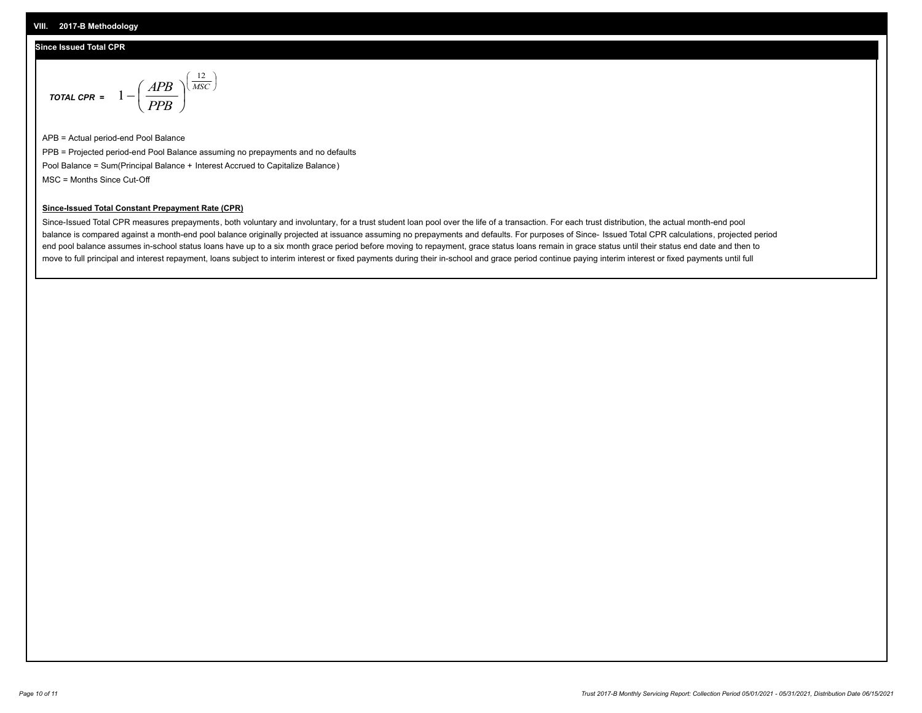#### **VIII. 2017-B Methodology**

### **Since Issued Total CPR**

$$
\text{total CPR} = 1 - \left(\frac{APB}{PPB}\right)^{\left(\frac{12}{MSC}\right)}
$$

APB = Actual period-end Pool Balance PPB = Projected period-end Pool Balance assuming no prepayments and no defaults Pool Balance = Sum(Principal Balance + Interest Accrued to Capitalize Balance) MSC = Months Since Cut-Off

 $\mathsf{I}$ J λ

## **Since-Issued Total Constant Prepayment Rate (CPR)**

Since-Issued Total CPR measures prepayments, both voluntary and involuntary, for a trust student loan pool over the life of a transaction. For each trust distribution, the actual month-end pool balance is compared against a month-end pool balance originally projected at issuance assuming no prepayments and defaults. For purposes of Since- Issued Total CPR calculations, projected period end pool balance assumes in-school status loans have up to a six month grace period before moving to repayment, grace status loans remain in grace status until their status end date and then to move to full principal and interest repayment, loans subject to interim interest or fixed payments during their in-school and grace period continue paying interim interest or fixed payments until full